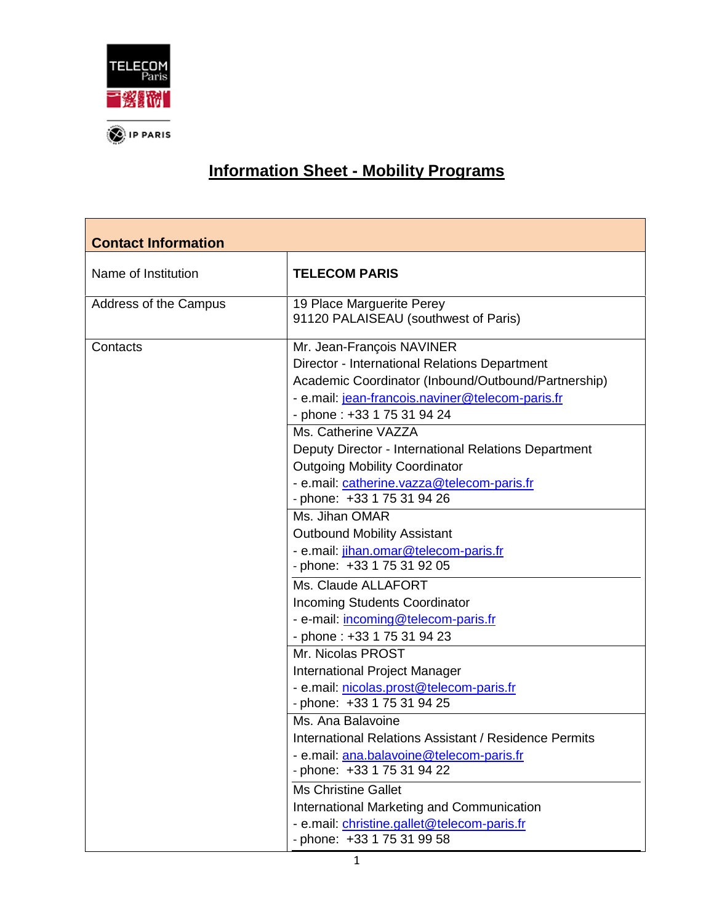

## **Information Sheet - Mobility Programs**

| <b>Contact Information</b> |                                                                                                                                                                                                                     |
|----------------------------|---------------------------------------------------------------------------------------------------------------------------------------------------------------------------------------------------------------------|
| Name of Institution        | <b>TELECOM PARIS</b>                                                                                                                                                                                                |
| Address of the Campus      | 19 Place Marguerite Perey<br>91120 PALAISEAU (southwest of Paris)                                                                                                                                                   |
| Contacts                   | Mr. Jean-François NAVINER<br>Director - International Relations Department<br>Academic Coordinator (Inbound/Outbound/Partnership)<br>- e.mail: jean-francois.naviner@telecom-paris.fr<br>- phone: +33 1 75 31 94 24 |
|                            | Ms. Catherine VAZZA<br>Deputy Director - International Relations Department<br><b>Outgoing Mobility Coordinator</b><br>- e.mail: catherine.vazza@telecom-paris.fr<br>- phone: +33 1 75 31 94 26                     |
|                            | Ms. Jihan OMAR<br><b>Outbound Mobility Assistant</b><br>- e.mail: jihan.omar@telecom-paris.fr<br>- phone: +33 1 75 31 92 05                                                                                         |
|                            | Ms. Claude ALLAFORT<br><b>Incoming Students Coordinator</b><br>- e-mail: incoming@telecom-paris.fr<br>- phone: +33 1 75 31 94 23                                                                                    |
|                            | Mr. Nicolas PROST<br>International Project Manager<br>- e.mail: nicolas.prost@telecom-paris.fr<br>- phone: +33 1 75 31 94 25                                                                                        |
|                            | Ms. Ana Balavoine<br><b>International Relations Assistant / Residence Permits</b><br>- e.mail: ana.balavoine@telecom-paris.fr<br>- phone: +33 1 75 31 94 22                                                         |
|                            | <b>Ms Christine Gallet</b><br>International Marketing and Communication<br>- e.mail: christine.gallet@telecom-paris.fr<br>- phone: +33 1 75 31 99 58                                                                |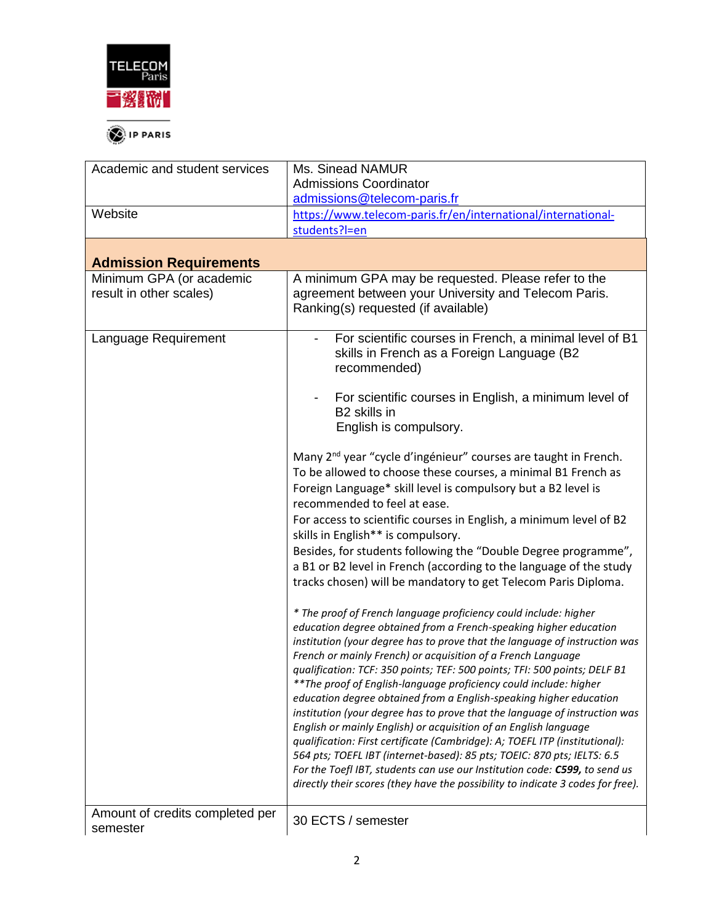

| Academic and student services                       | Ms. Sinead NAMUR                                                                                                                                                                                                                                                                                                                                                                                                                                                                                                                                                                                                                                                                                                                                                                                                                                                                                                                                                                          |
|-----------------------------------------------------|-------------------------------------------------------------------------------------------------------------------------------------------------------------------------------------------------------------------------------------------------------------------------------------------------------------------------------------------------------------------------------------------------------------------------------------------------------------------------------------------------------------------------------------------------------------------------------------------------------------------------------------------------------------------------------------------------------------------------------------------------------------------------------------------------------------------------------------------------------------------------------------------------------------------------------------------------------------------------------------------|
|                                                     | <b>Admissions Coordinator</b>                                                                                                                                                                                                                                                                                                                                                                                                                                                                                                                                                                                                                                                                                                                                                                                                                                                                                                                                                             |
|                                                     | admissions@telecom-paris.fr                                                                                                                                                                                                                                                                                                                                                                                                                                                                                                                                                                                                                                                                                                                                                                                                                                                                                                                                                               |
| Website                                             | https://www.telecom-paris.fr/en/international/international-                                                                                                                                                                                                                                                                                                                                                                                                                                                                                                                                                                                                                                                                                                                                                                                                                                                                                                                              |
|                                                     | students?I=en                                                                                                                                                                                                                                                                                                                                                                                                                                                                                                                                                                                                                                                                                                                                                                                                                                                                                                                                                                             |
|                                                     |                                                                                                                                                                                                                                                                                                                                                                                                                                                                                                                                                                                                                                                                                                                                                                                                                                                                                                                                                                                           |
| <b>Admission Requirements</b>                       |                                                                                                                                                                                                                                                                                                                                                                                                                                                                                                                                                                                                                                                                                                                                                                                                                                                                                                                                                                                           |
| Minimum GPA (or academic<br>result in other scales) | A minimum GPA may be requested. Please refer to the<br>agreement between your University and Telecom Paris.<br>Ranking(s) requested (if available)                                                                                                                                                                                                                                                                                                                                                                                                                                                                                                                                                                                                                                                                                                                                                                                                                                        |
| Language Requirement                                | For scientific courses in French, a minimal level of B1<br>skills in French as a Foreign Language (B2<br>recommended)                                                                                                                                                                                                                                                                                                                                                                                                                                                                                                                                                                                                                                                                                                                                                                                                                                                                     |
|                                                     | For scientific courses in English, a minimum level of<br>B2 skills in<br>English is compulsory.                                                                                                                                                                                                                                                                                                                                                                                                                                                                                                                                                                                                                                                                                                                                                                                                                                                                                           |
|                                                     | Many 2 <sup>nd</sup> year "cycle d'ingénieur" courses are taught in French.<br>To be allowed to choose these courses, a minimal B1 French as<br>Foreign Language* skill level is compulsory but a B2 level is<br>recommended to feel at ease.<br>For access to scientific courses in English, a minimum level of B2<br>skills in English** is compulsory.<br>Besides, for students following the "Double Degree programme",<br>a B1 or B2 level in French (according to the language of the study<br>tracks chosen) will be mandatory to get Telecom Paris Diploma.                                                                                                                                                                                                                                                                                                                                                                                                                       |
|                                                     | * The proof of French language proficiency could include: higher<br>education degree obtained from a French-speaking higher education<br>institution (your degree has to prove that the language of instruction was<br>French or mainly French) or acquisition of a French Language<br>qualification: TCF: 350 points; TEF: 500 points; TFI: 500 points; DELF B1<br>** The proof of English-language proficiency could include: higher<br>education degree obtained from a English-speaking higher education<br>institution (your degree has to prove that the language of instruction was<br>English or mainly English) or acquisition of an English language<br>qualification: First certificate (Cambridge): A; TOEFL ITP (institutional):<br>564 pts; TOEFL IBT (internet-based): 85 pts; TOEIC: 870 pts; IELTS: 6.5<br>For the Toefl IBT, students can use our Institution code: C599, to send us<br>directly their scores (they have the possibility to indicate 3 codes for free). |
| Amount of credits completed per<br>semester         | 30 ECTS / semester                                                                                                                                                                                                                                                                                                                                                                                                                                                                                                                                                                                                                                                                                                                                                                                                                                                                                                                                                                        |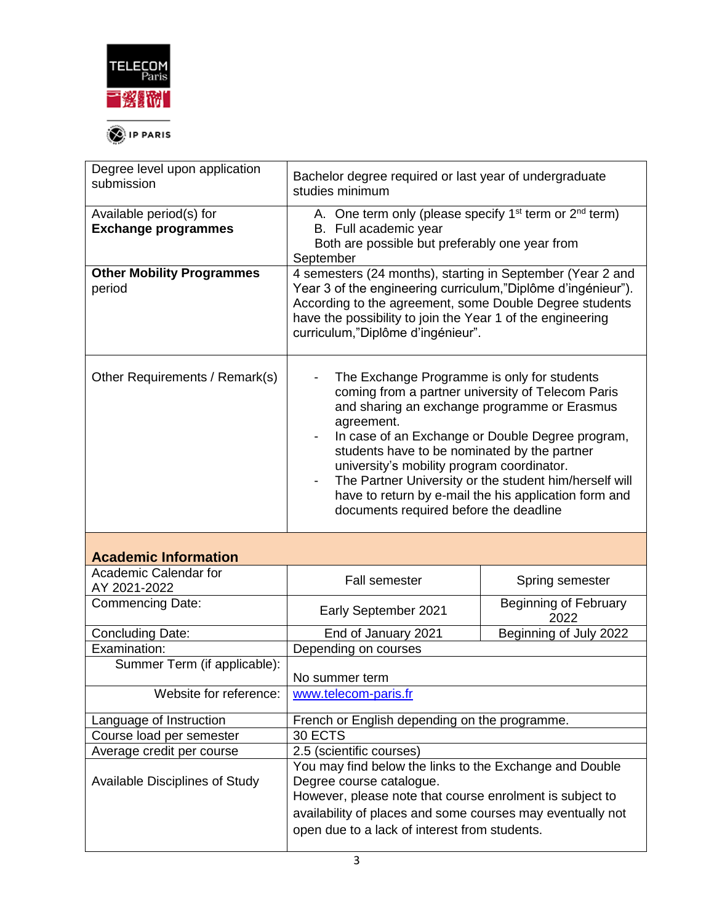

| Degree level upon application<br>submission           | Bachelor degree required or last year of undergraduate<br>studies minimum                                                                                                                                                                                                                                                                                                                                                                                                                                 |                                      |  |
|-------------------------------------------------------|-----------------------------------------------------------------------------------------------------------------------------------------------------------------------------------------------------------------------------------------------------------------------------------------------------------------------------------------------------------------------------------------------------------------------------------------------------------------------------------------------------------|--------------------------------------|--|
| Available period(s) for<br><b>Exchange programmes</b> | A. One term only (please specify 1 <sup>st</sup> term or 2 <sup>nd</sup> term)<br>B. Full academic year<br>Both are possible but preferably one year from<br>September                                                                                                                                                                                                                                                                                                                                    |                                      |  |
| <b>Other Mobility Programmes</b><br>period            | 4 semesters (24 months), starting in September (Year 2 and<br>Year 3 of the engineering curriculum,"Diplôme d'ingénieur").<br>According to the agreement, some Double Degree students<br>have the possibility to join the Year 1 of the engineering<br>curriculum,"Diplôme d'ingénieur".                                                                                                                                                                                                                  |                                      |  |
| Other Requirements / Remark(s)                        | The Exchange Programme is only for students<br>coming from a partner university of Telecom Paris<br>and sharing an exchange programme or Erasmus<br>agreement.<br>In case of an Exchange or Double Degree program,<br>students have to be nominated by the partner<br>university's mobility program coordinator.<br>The Partner University or the student him/herself will<br>$\overline{\phantom{a}}$<br>have to return by e-mail the his application form and<br>documents required before the deadline |                                      |  |
| <b>Academic Information</b>                           |                                                                                                                                                                                                                                                                                                                                                                                                                                                                                                           |                                      |  |
| <b>Academic Calendar for</b>                          | <b>Fall semester</b>                                                                                                                                                                                                                                                                                                                                                                                                                                                                                      | Spring semester                      |  |
| AY 2021-2022<br><b>Commencing Date:</b>               | Early September 2021                                                                                                                                                                                                                                                                                                                                                                                                                                                                                      | <b>Beginning of February</b><br>2022 |  |
| <b>Concluding Date:</b>                               | End of January 2021                                                                                                                                                                                                                                                                                                                                                                                                                                                                                       | Beginning of July 2022               |  |
| Examination:                                          | Depending on courses                                                                                                                                                                                                                                                                                                                                                                                                                                                                                      |                                      |  |
| Summer Term (if applicable):                          | No summer term                                                                                                                                                                                                                                                                                                                                                                                                                                                                                            |                                      |  |
| Website for reference:                                | www.telecom-paris.fr                                                                                                                                                                                                                                                                                                                                                                                                                                                                                      |                                      |  |
| Language of Instruction                               | French or English depending on the programme.                                                                                                                                                                                                                                                                                                                                                                                                                                                             |                                      |  |
| Course load per semester                              | 30 ECTS                                                                                                                                                                                                                                                                                                                                                                                                                                                                                                   |                                      |  |
| Average credit per course                             | 2.5 (scientific courses)                                                                                                                                                                                                                                                                                                                                                                                                                                                                                  |                                      |  |
| Available Disciplines of Study                        | You may find below the links to the Exchange and Double<br>Degree course catalogue.<br>However, please note that course enrolment is subject to<br>availability of places and some courses may eventually not<br>open due to a lack of interest from students.                                                                                                                                                                                                                                            |                                      |  |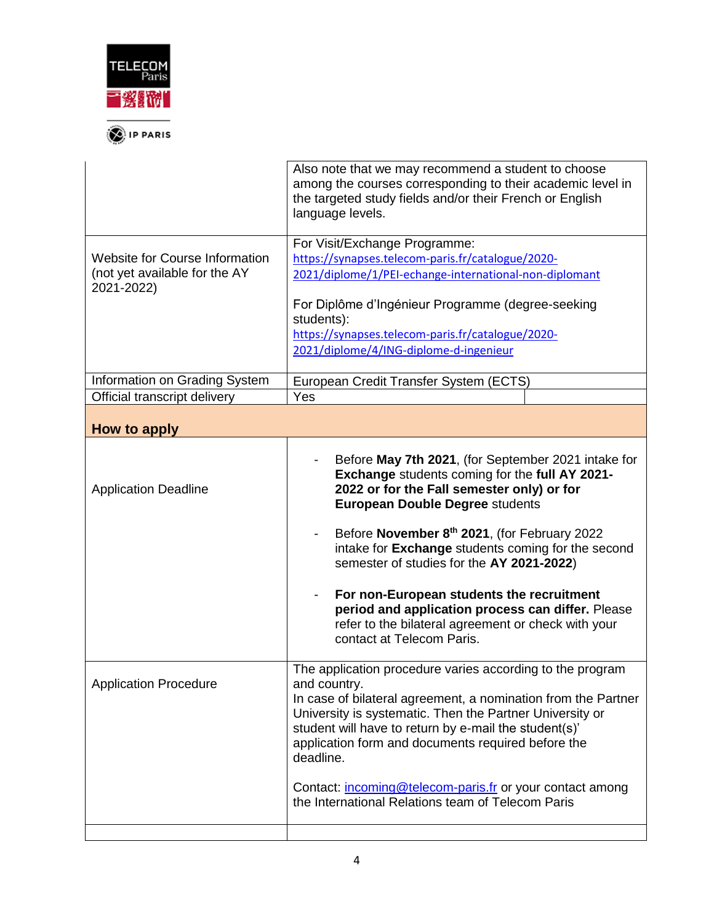

<sup><sup>1</sup> IP PARIS</sup>

|                                                                                      | Also note that we may recommend a student to choose<br>among the courses corresponding to their academic level in<br>the targeted study fields and/or their French or English<br>language levels.                                                                                                                                                                                                                                                                                                                                      |
|--------------------------------------------------------------------------------------|----------------------------------------------------------------------------------------------------------------------------------------------------------------------------------------------------------------------------------------------------------------------------------------------------------------------------------------------------------------------------------------------------------------------------------------------------------------------------------------------------------------------------------------|
| <b>Website for Course Information</b><br>(not yet available for the AY<br>2021-2022) | For Visit/Exchange Programme:<br>https://synapses.telecom-paris.fr/catalogue/2020-<br>2021/diplome/1/PEI-echange-international-non-diplomant<br>For Diplôme d'Ingénieur Programme (degree-seeking<br>students):<br>https://synapses.telecom-paris.fr/catalogue/2020-<br>2021/diplome/4/ING-diplome-d-ingenieur                                                                                                                                                                                                                         |
| Information on Grading System                                                        | European Credit Transfer System (ECTS)                                                                                                                                                                                                                                                                                                                                                                                                                                                                                                 |
| Official transcript delivery                                                         | Yes                                                                                                                                                                                                                                                                                                                                                                                                                                                                                                                                    |
| How to apply                                                                         |                                                                                                                                                                                                                                                                                                                                                                                                                                                                                                                                        |
| <b>Application Deadline</b>                                                          | Before May 7th 2021, (for September 2021 intake for<br>Exchange students coming for the full AY 2021-<br>2022 or for the Fall semester only) or for<br><b>European Double Degree students</b><br>Before November 8th 2021, (for February 2022<br>intake for Exchange students coming for the second<br>semester of studies for the AY 2021-2022)<br>For non-European students the recruitment<br>period and application process can differ. Please<br>refer to the bilateral agreement or check with your<br>contact at Telecom Paris. |
| <b>Application Procedure</b>                                                         | The application procedure varies according to the program<br>and country.<br>In case of bilateral agreement, a nomination from the Partner<br>University is systematic. Then the Partner University or<br>student will have to return by e-mail the student(s)'<br>application form and documents required before the<br>deadline.                                                                                                                                                                                                     |
|                                                                                      | Contact: <i>incoming@telecom-paris.fr or your contact among</i><br>the International Relations team of Telecom Paris                                                                                                                                                                                                                                                                                                                                                                                                                   |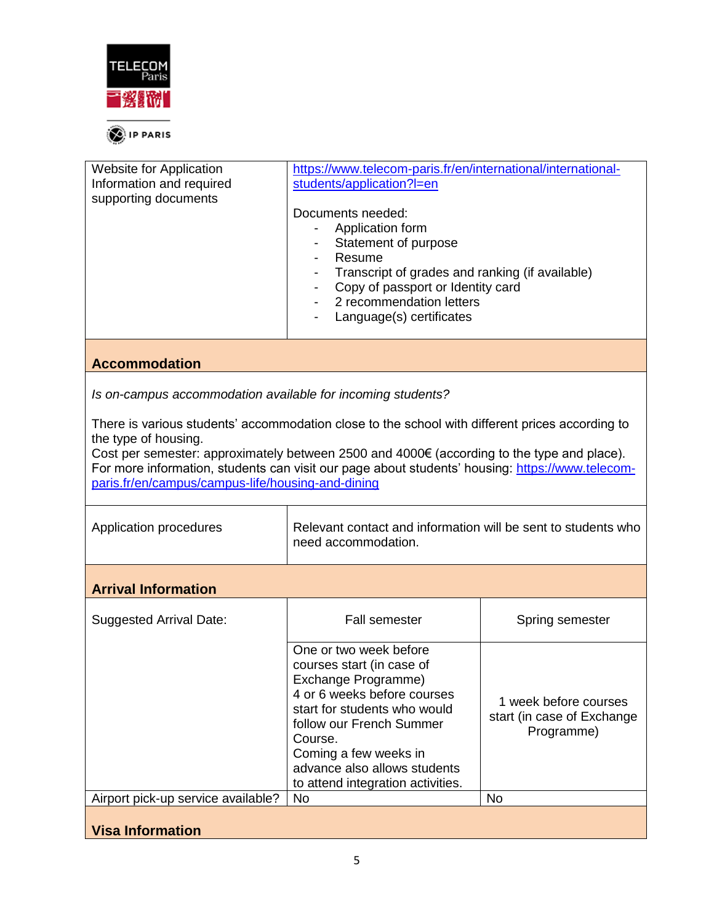

| Website for Application<br>Information and required<br>supporting documents                                                                                                                                                                                                                                                                                                   | https://www.telecom-paris.fr/en/international/international-<br>students/application?I=en<br>Documents needed:<br>Application form<br>Statement of purpose<br>Resume<br>Transcript of grades and ranking (if available)<br>Copy of passport or Identity card<br>2 recommendation letters<br>Language(s) certificates |                                                                   |
|-------------------------------------------------------------------------------------------------------------------------------------------------------------------------------------------------------------------------------------------------------------------------------------------------------------------------------------------------------------------------------|----------------------------------------------------------------------------------------------------------------------------------------------------------------------------------------------------------------------------------------------------------------------------------------------------------------------|-------------------------------------------------------------------|
| <b>Accommodation</b>                                                                                                                                                                                                                                                                                                                                                          |                                                                                                                                                                                                                                                                                                                      |                                                                   |
| Is on-campus accommodation available for incoming students?                                                                                                                                                                                                                                                                                                                   |                                                                                                                                                                                                                                                                                                                      |                                                                   |
| There is various students' accommodation close to the school with different prices according to<br>the type of housing.<br>Cost per semester: approximately between 2500 and 4000€ (according to the type and place).<br>For more information, students can visit our page about students' housing: https://www.telecom-<br>paris.fr/en/campus/campus-life/housing-and-dining |                                                                                                                                                                                                                                                                                                                      |                                                                   |
| Application procedures                                                                                                                                                                                                                                                                                                                                                        | Relevant contact and information will be sent to students who<br>need accommodation.                                                                                                                                                                                                                                 |                                                                   |
| <b>Arrival Information</b>                                                                                                                                                                                                                                                                                                                                                    |                                                                                                                                                                                                                                                                                                                      |                                                                   |
| <b>Suggested Arrival Date:</b>                                                                                                                                                                                                                                                                                                                                                | <b>Fall semester</b>                                                                                                                                                                                                                                                                                                 | Spring semester                                                   |
|                                                                                                                                                                                                                                                                                                                                                                               | One or two week before<br>courses start (in case of<br>Exchange Programme)<br>4 or 6 weeks before courses<br>start for students who would<br>follow our French Summer<br>Course.<br>Coming a few weeks in<br>advance also allows students<br>to attend integration activities.                                       | 1 week before courses<br>start (in case of Exchange<br>Programme) |
| Airport pick-up service available?                                                                                                                                                                                                                                                                                                                                            | No                                                                                                                                                                                                                                                                                                                   | <b>No</b>                                                         |
| <b>Visa Information</b>                                                                                                                                                                                                                                                                                                                                                       |                                                                                                                                                                                                                                                                                                                      |                                                                   |